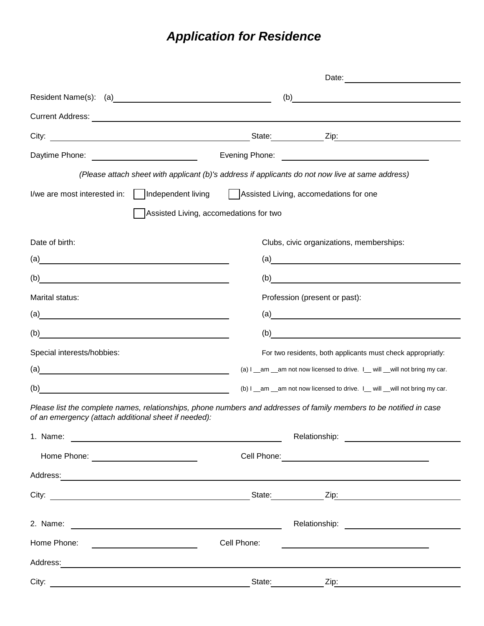## *Application for Residence*

| Current Address: No. 2006. The Contract of the Contract of the Contract of the Contract of the Contract of the | (b)                                                                                                                                                                                                                                                                                                                                                                                                                                                                                                                                                                                                                                                                                                  |  |  |
|----------------------------------------------------------------------------------------------------------------|------------------------------------------------------------------------------------------------------------------------------------------------------------------------------------------------------------------------------------------------------------------------------------------------------------------------------------------------------------------------------------------------------------------------------------------------------------------------------------------------------------------------------------------------------------------------------------------------------------------------------------------------------------------------------------------------------|--|--|
|                                                                                                                |                                                                                                                                                                                                                                                                                                                                                                                                                                                                                                                                                                                                                                                                                                      |  |  |
|                                                                                                                |                                                                                                                                                                                                                                                                                                                                                                                                                                                                                                                                                                                                                                                                                                      |  |  |
|                                                                                                                |                                                                                                                                                                                                                                                                                                                                                                                                                                                                                                                                                                                                                                                                                                      |  |  |
|                                                                                                                |                                                                                                                                                                                                                                                                                                                                                                                                                                                                                                                                                                                                                                                                                                      |  |  |
|                                                                                                                | (Please attach sheet with applicant (b)'s address if applicants do not now live at same address)                                                                                                                                                                                                                                                                                                                                                                                                                                                                                                                                                                                                     |  |  |
| Assisted Living, accomedations for one                                                                         |                                                                                                                                                                                                                                                                                                                                                                                                                                                                                                                                                                                                                                                                                                      |  |  |
|                                                                                                                |                                                                                                                                                                                                                                                                                                                                                                                                                                                                                                                                                                                                                                                                                                      |  |  |
|                                                                                                                | Clubs, civic organizations, memberships:                                                                                                                                                                                                                                                                                                                                                                                                                                                                                                                                                                                                                                                             |  |  |
|                                                                                                                | $\left( a\right)$                                                                                                                                                                                                                                                                                                                                                                                                                                                                                                                                                                                                                                                                                    |  |  |
|                                                                                                                | $\begin{array}{c}\n\text{(b)}\end{array}$                                                                                                                                                                                                                                                                                                                                                                                                                                                                                                                                                                                                                                                            |  |  |
|                                                                                                                | Profession (present or past):                                                                                                                                                                                                                                                                                                                                                                                                                                                                                                                                                                                                                                                                        |  |  |
|                                                                                                                | $\left( a\right)$                                                                                                                                                                                                                                                                                                                                                                                                                                                                                                                                                                                                                                                                                    |  |  |
|                                                                                                                | $\left( b\right)$                                                                                                                                                                                                                                                                                                                                                                                                                                                                                                                                                                                                                                                                                    |  |  |
|                                                                                                                | For two residents, both applicants must check appropriatly:                                                                                                                                                                                                                                                                                                                                                                                                                                                                                                                                                                                                                                          |  |  |
|                                                                                                                | (a) I _am _am not now licensed to drive. I_ will _will not bring my car.                                                                                                                                                                                                                                                                                                                                                                                                                                                                                                                                                                                                                             |  |  |
|                                                                                                                | (b) I _am _am not now licensed to drive. I_ will _will not bring my car.                                                                                                                                                                                                                                                                                                                                                                                                                                                                                                                                                                                                                             |  |  |
|                                                                                                                | Please list the complete names, relationships, phone numbers and addresses of family members to be notified in case                                                                                                                                                                                                                                                                                                                                                                                                                                                                                                                                                                                  |  |  |
|                                                                                                                |                                                                                                                                                                                                                                                                                                                                                                                                                                                                                                                                                                                                                                                                                                      |  |  |
|                                                                                                                | Cell Phone: <u>contract and contract and contract and contract and contract and contract and contract and contract and contract and contract and contract and contract and contract and contract and contract and contract and c</u>                                                                                                                                                                                                                                                                                                                                                                                                                                                                 |  |  |
|                                                                                                                |                                                                                                                                                                                                                                                                                                                                                                                                                                                                                                                                                                                                                                                                                                      |  |  |
|                                                                                                                |                                                                                                                                                                                                                                                                                                                                                                                                                                                                                                                                                                                                                                                                                                      |  |  |
|                                                                                                                |                                                                                                                                                                                                                                                                                                                                                                                                                                                                                                                                                                                                                                                                                                      |  |  |
| Cell Phone:                                                                                                    | <u> 1989 - Johann Barn, mars eta bainar eta bainar eta baina eta baina eta baina eta baina eta baina eta baina e</u>                                                                                                                                                                                                                                                                                                                                                                                                                                                                                                                                                                                 |  |  |
|                                                                                                                | Address: Andreas Address: Address: Address: Address: Address: Address: Address: Address: Address: Address: Address: Address: Address: Address: Address: Address: Address: Address: Address: Address: Address: Address: Address                                                                                                                                                                                                                                                                                                                                                                                                                                                                       |  |  |
|                                                                                                                | State: <u>Zip:</u> Zip:                                                                                                                                                                                                                                                                                                                                                                                                                                                                                                                                                                                                                                                                              |  |  |
|                                                                                                                | Independent living<br>Assisted Living, accomedations for two<br>(a)<br>(b)<br>$\left( a\right)$<br><u> 1989 - Johann Harry Harry Harry Harry Harry Harry Harry Harry Harry Harry Harry Harry Harry Harry Harry Harry</u><br><u> 1989 - Johann Stein, marwolaethau a bhann an t-Albann an t-Albann an t-Albann an t-Albann an t-Albann an t-Alb</u><br>of an emergency (attach additional sheet if needed):<br>Address: Andreas Address: Address: Address: Address: Address: Address: Address: Address: Address: Address: Address: Address: Address: Address: Address: Address: Address: Address: Address: Address: Address: Address: Address<br><u> 1989 - Andrea Brand, Amerikaansk politiker (</u> |  |  |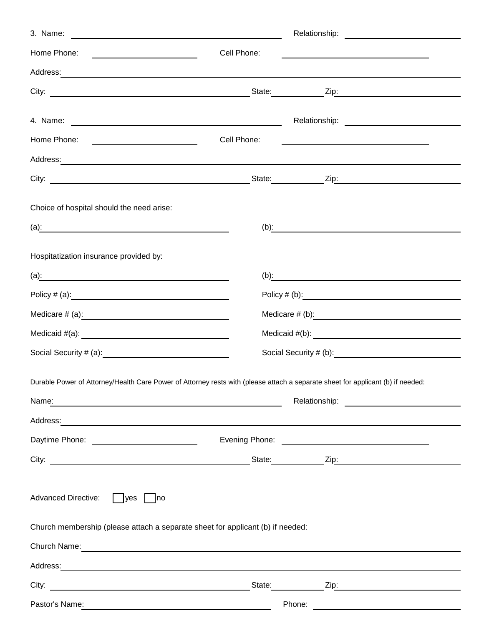| Home Phone:<br><u> Alexandro Alexandro Alexandro Alexandro Alexandro Alexandro Alexandro Alexandro Alexandro Alexandro Alexandro </u>                                                                                                | Cell Phone:  |                                                                |  |  |
|--------------------------------------------------------------------------------------------------------------------------------------------------------------------------------------------------------------------------------------|--------------|----------------------------------------------------------------|--|--|
| Address: Address: Address: Address: Address: Address: Address: Address: Address: Address: Address: Address: Address: Address: Address: Address: Address: Address: Address: Address: Address: Address: Address: Address: Addres       |              |                                                                |  |  |
|                                                                                                                                                                                                                                      |              |                                                                |  |  |
|                                                                                                                                                                                                                                      |              |                                                                |  |  |
|                                                                                                                                                                                                                                      |              |                                                                |  |  |
|                                                                                                                                                                                                                                      | Cell Phone:  | <u> 1989 - Johann Stoff, Amerikaansk politiker (* 1908)</u>    |  |  |
| Address: Address: Address: Address: Address: Address: Address: Address: Address: Address: Address: Address: Address: Address: Address: Address: Address: Address: Address: Address: Address: Address: Address: Address: Addres       |              |                                                                |  |  |
|                                                                                                                                                                                                                                      |              |                                                                |  |  |
| Choice of hospital should the need arise:                                                                                                                                                                                            |              |                                                                |  |  |
|                                                                                                                                                                                                                                      |              | (b): $\qquad \qquad \qquad$                                    |  |  |
|                                                                                                                                                                                                                                      |              |                                                                |  |  |
| Hospitatization insurance provided by:                                                                                                                                                                                               |              |                                                                |  |  |
|                                                                                                                                                                                                                                      | (b) <u>:</u> |                                                                |  |  |
|                                                                                                                                                                                                                                      |              |                                                                |  |  |
|                                                                                                                                                                                                                                      |              |                                                                |  |  |
|                                                                                                                                                                                                                                      |              |                                                                |  |  |
|                                                                                                                                                                                                                                      |              |                                                                |  |  |
| Durable Power of Attorney/Health Care Power of Attorney rests with (please attach a separate sheet for applicant (b) if needed:                                                                                                      |              |                                                                |  |  |
|                                                                                                                                                                                                                                      |              | Relationship:<br><u> 1989 - Andrea Albert III, martin a bh</u> |  |  |
| Address: <u>Address: Address: Address: Address: Address:</u>                                                                                                                                                                         |              |                                                                |  |  |
|                                                                                                                                                                                                                                      |              |                                                                |  |  |
|                                                                                                                                                                                                                                      |              | State: <u>Contract Zip:</u> Zip:                               |  |  |
|                                                                                                                                                                                                                                      |              |                                                                |  |  |
| <b>Advanced Directive:</b><br><b>yes</b><br>no                                                                                                                                                                                       |              |                                                                |  |  |
| Church membership (please attach a separate sheet for applicant (b) if needed:                                                                                                                                                       |              |                                                                |  |  |
| Church Name: <u>Church Name: Church Name: Church Name: Church Name: Church Name: Church Name: Church Name: Church Name: Church Name: Church Name: Church Name: Church Name: Church Name: Church Name: Church Name: Church Name: </u> |              |                                                                |  |  |
|                                                                                                                                                                                                                                      |              |                                                                |  |  |
|                                                                                                                                                                                                                                      |              | State: Zip: Zip:                                               |  |  |
| Pastor's Name:                                                                                                                                                                                                                       | Phone:       |                                                                |  |  |